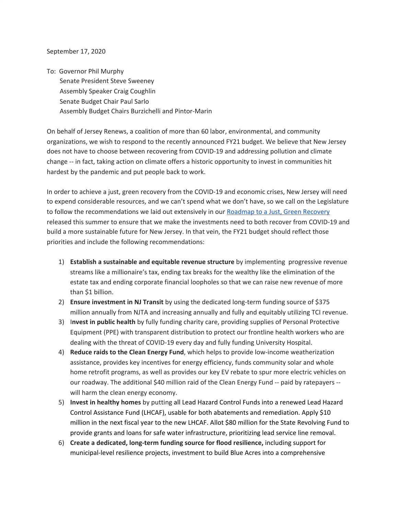## September 17, 2020

To: Governor Phil Murphy Senate President Steve Sweeney Assembly Speaker Craig Coughlin Senate Budget Chair Paul Sarlo Assembly Budget Chairs Burzichelli and Pintor-Marin

On behalf of Jersey Renews, a coalition of more than 60 labor, environmental, and community organizations, we wish to respond to the recently announced FY21 budget. We believe that New Jersey does not have to choose between recovering from COVID-19 and addressing pollution and climate change -- in fact, taking action on climate offers a historic opportunity to invest in communities hit hardest by the pandemic and put people back to work.

In order to achieve a just, green recovery from the COVID-19 and economic crises, New Jersey will need to expend considerable resources, and we can't spend what we don't have, so we call on the Legislature to follow the recommendations we laid out extensively in our [Roadmap](https://jerseyrenews.org/press-release-jersey-renews-releases-roadmap-for-a-just-green-recovery/) to a Just, Green Recovery released this summer to ensure that we make the investments need to both recover from COVID-19 and build a more sustainable future for New Jersey. In that vein, the FY21 budget should reflect those priorities and include the following recommendations:

- 1) **Establish a sustainable and equitable revenue structure** by implementing progressive revenue streams like a millionaire's tax, ending tax breaks for the wealthy like the elimination of the estate tax and ending corporate financial loopholes so that we can raise new revenue of more than \$1 billion.
- 2) **Ensure investment in NJ Transit** by using the dedicated long-term funding source of \$375 million annually from NJTA and increasing annually and fully and equitably utilizing TCI revenue.
- 3) I**nvest in public health** by fully funding charity care, providing supplies of Personal Protective Equipment (PPE) with transparent distribution to protect our frontline health workers who are dealing with the threat of COVID-19 every day and fully funding University Hospital.
- 4) **Reduce raids to the Clean Energy Fund**, which helps to provide low-income weatherization assistance, provides key incentives for energy efficiency, funds community solar and whole home retrofit programs, as well as provides our key EV rebate to spur more electric vehicles on our roadway. The additional \$40 million raid of the Clean Energy Fund -- paid by ratepayers - will harm the clean energy economy.
- 5) **Invest in healthy homes** by putting all Lead Hazard Control Funds into a renewed Lead Hazard Control Assistance Fund (LHCAF), usable for both abatements and remediation. Apply \$10 million in the next fiscal year to the new LHCAF. Allot \$80 million for the State Revolving Fund to provide grants and loans for safe water infrastructure, prioritizing lead service line removal.
- 6) **Create a dedicated, long-term funding source for flood resilience,** including support for municipal-level resilience projects, investment to build Blue Acres into a comprehensive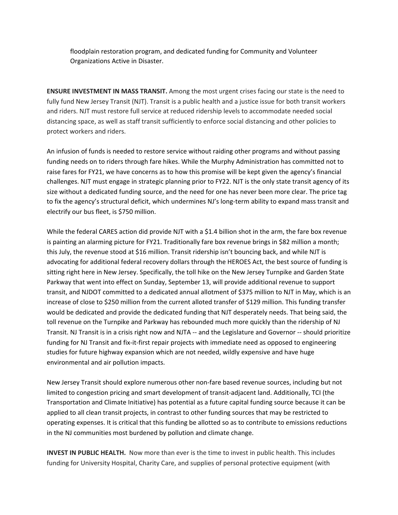floodplain restoration program, and dedicated funding for Community and Volunteer Organizations Active in Disaster.

**ENSURE INVESTMENT IN MASS TRANSIT.** Among the most urgent crises facing our state is the need to fully fund New Jersey Transit (NJT). Transit is a public health and a justice issue for both transit workers and riders. NJT must restore full service at reduced ridership levels to accommodate needed social distancing space, as well as staff transit sufficiently to enforce social distancing and other policies to protect workers and riders.

An infusion of funds is needed to restore service without raiding other programs and without passing funding needs on to riders through fare hikes. While the Murphy Administration has committed not to raise fares for FY21, we have concerns as to how this promise will be kept given the agency's financial challenges. NJT must engage in strategic planning prior to FY22. NJT is the only state transit agency of its size without a dedicated funding source, and the need for one has never been more clear. The price tag to fix the agency's structural deficit, which undermines NJ's long-term ability to expand mass transit and electrify our bus fleet, is \$750 million.

While the federal CARES action did provide NJT with a \$1.4 billion shot in the arm, the fare box revenue is painting an alarming picture for FY21. Traditionally fare box revenue brings in \$82 million a month; this July, the revenue stood at \$16 million. Transit ridership isn't bouncing back, and while NJT is advocating for additional federal recovery dollars through the HEROES Act, the best source of funding is sitting right here in New Jersey. Specifically, the toll hike on the New Jersey Turnpike and Garden State Parkway that went into effect on Sunday, September 13, will provide additional revenue to support transit, and NJDOT committed to a dedicated annual allotment of \$375 million to NJT in May, which is an increase of close to \$250 million from the current alloted transfer of \$129 million. This funding transfer would be dedicated and provide the dedicated funding that NJT desperately needs. That being said, the toll revenue on the Turnpike and Parkway has rebounded much more quickly than the ridership of NJ Transit. NJ Transit is in a crisis right now and NJTA -- and the Legislature and Governor -- should prioritize funding for NJ Transit and fix-it-first repair projects with immediate need as opposed to engineering studies for future highway expansion which are not needed, wildly expensive and have huge environmental and air pollution impacts.

New Jersey Transit should explore numerous other non-fare based revenue sources, including but not limited to congestion pricing and smart development of transit-adjacent land. Additionally, TCI (the Transportation and Climate Initiative) has potential as a future capital funding source because it can be applied to all clean transit projects, in contrast to other funding sources that may be restricted to operating expenses. It is critical that this funding be allotted so as to contribute to emissions reductions in the NJ communities most burdened by pollution and climate change.

**INVEST IN PUBLIC HEALTH.** Now more than ever is the time to invest in public health. This includes funding for University Hospital, Charity Care, and supplies of personal protective equipment (with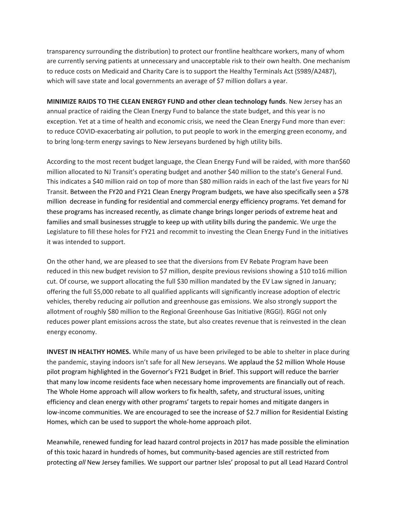transparency surrounding the distribution) to protect our frontline healthcare workers, many of whom are currently serving patients at unnecessary and unacceptable risk to their own health. One mechanism to reduce costs on Medicaid and Charity Care is to support the Healthy Terminals Act (S989/A2487), which will save state and local governments an average of \$7 million dollars a year.

**MINIMIZE RAIDS TO THE CLEAN ENERGY FUND and other clean technology funds**. New Jersey has an annual practice of raiding the Clean Energy Fund to balance the state budget, and this year is no exception. Yet at a time of health and economic crisis, we need the Clean Energy Fund more than ever: to reduce COVID-exacerbating air pollution, to put people to work in the emerging green economy, and to bring long-term energy savings to New Jerseyans burdened by high utility bills.

According to the most recent budget language, the Clean Energy Fund will be raided, with more than\$60 million allocated to NJ Transit's operating budget and another \$40 million to the state's General Fund. This indicates a \$40 million raid on top of more than \$80 million raids in each of the last five years for NJ Transit. Between the FY20 and FY21 Clean Energy Program budgets, we have also specifically seen a \$78 million decrease in funding for residential and commercial energy efficiency programs. Yet demand for these programs has increased recently, as climate change brings longer periods of extreme heat and families and small businesses struggle to keep up with utility bills during the pandemic. We urge the Legislature to fill these holes for FY21 and recommit to investing the Clean Energy Fund in the initiatives it was intended to support.

On the other hand, we are pleased to see that the diversions from EV Rebate Program have been reduced in this new budget revision to \$7 million, despite previous revisions showing a \$10 to16 million cut. Of course, we support allocating the full \$30 million mandated by the EV Law signed in January; offering the full \$5,000 rebate to all qualified applicants will significantly increase adoption of electric vehicles, thereby reducing air pollution and greenhouse gas emissions. We also strongly support the allotment of roughly \$80 million to the Regional Greenhouse Gas Initiative (RGGI). RGGI not only reduces power plant emissions across the state, but also creates revenue that is reinvested in the clean energy economy.

**INVEST IN HEALTHY HOMES.** While many of us have been privileged to be able to shelter in place during the pandemic, staying indoors isn't safe for all New Jerseyans. We applaud the \$2 million Whole House pilot program highlighted in the Governor's FY21 Budget in Brief. This support will reduce the barrier that many low income residents face when necessary home improvements are financially out of reach. The Whole Home approach will allow workers to fix health, safety, and structural issues, uniting efficiency and clean energy with other programs' targets to repair homes and mitigate dangers in low-income communities. We are encouraged to see the increase of \$2.7 million for Residential Existing Homes, which can be used to support the whole-home approach pilot.

Meanwhile, renewed funding for lead hazard control projects in 2017 has made possible the elimination of this toxic hazard in hundreds of homes, but community-based agencies are still restricted from protecting *all* New Jersey families. We support our partner Isles' proposal to put all Lead Hazard Control